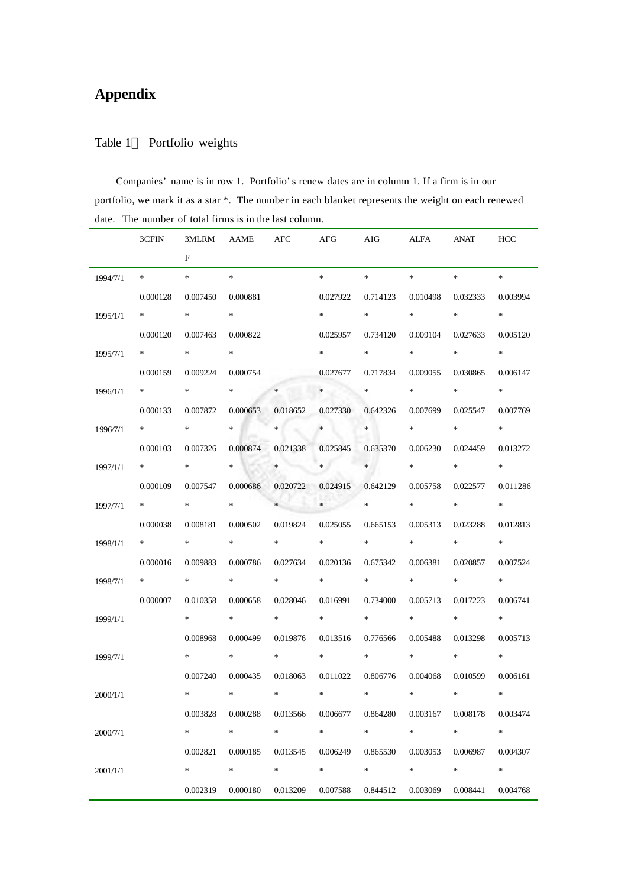## **Appendix**

## Table 1 Portfolio weights

Companies' name is in row 1. Portfolio's renew dates are in column 1. If a firm is in our portfolio, we mark it as a star \*. The number in each blanket represents the weight on each renewed date. The number of total firms is in the last column.

|          | 3CFIN                                                                                                                                                                                                                           |             |                   |                                                                                                                                                                                                                                 |                                 | 3MLRM AAME AFC AFG AIG ALFA ANAT HCC                                                                                                                                                                                                                                                                                                                                |                              |                                                                                                                                                                                                                                 |             |
|----------|---------------------------------------------------------------------------------------------------------------------------------------------------------------------------------------------------------------------------------|-------------|-------------------|---------------------------------------------------------------------------------------------------------------------------------------------------------------------------------------------------------------------------------|---------------------------------|---------------------------------------------------------------------------------------------------------------------------------------------------------------------------------------------------------------------------------------------------------------------------------------------------------------------------------------------------------------------|------------------------------|---------------------------------------------------------------------------------------------------------------------------------------------------------------------------------------------------------------------------------|-------------|
|          |                                                                                                                                                                                                                                 | $F =$       |                   |                                                                                                                                                                                                                                 |                                 |                                                                                                                                                                                                                                                                                                                                                                     |                              |                                                                                                                                                                                                                                 |             |
| 1994/7/1 | $\ast$ . The set of the set of the set of the set of the set of the set of the set of the set of the set of the set of the set of the set of the set of the set of the set of the set of the set of the set of the set of the s | * *         |                   |                                                                                                                                                                                                                                 |                                 | $\begin{picture}(20,20) \put(0,0){\vector(1,0){100}} \put(15,0){\vector(1,0){100}} \put(15,0){\vector(1,0){100}} \put(15,0){\vector(1,0){100}} \put(15,0){\vector(1,0){100}} \put(15,0){\vector(1,0){100}} \put(15,0){\vector(1,0){100}} \put(15,0){\vector(1,0){100}} \put(15,0){\vector(1,0){100}} \put(15,0){\vector(1,0){100}} \put(15,0){\vector(1,0){100}} \$ | $*$ and $*$                  | $\ast$ . The set of the set of the set of the set of the set of the set of the set of the set of the set of the set of the set of the set of the set of the set of the set of the set of the set of the set of the set of the s | $*$         |
|          | 0.000128                                                                                                                                                                                                                        | 0.007450    | 0.000881          |                                                                                                                                                                                                                                 | 0.027922                        |                                                                                                                                                                                                                                                                                                                                                                     |                              | 0.714123  0.010498  0.032333                                                                                                                                                                                                    | 0.003994    |
| 1995/1/1 | $*$ and $*$                                                                                                                                                                                                                     | $*$ and $*$ | $*$ and $*$       |                                                                                                                                                                                                                                 | $*$ and $*$                     | $*$ and $*$                                                                                                                                                                                                                                                                                                                                                         | $\ast$ and $\ast$            | $*$ and $*$                                                                                                                                                                                                                     | $*$         |
|          | 0.000120                                                                                                                                                                                                                        | 0.007463    | 0.000822          |                                                                                                                                                                                                                                 | 0.025957                        |                                                                                                                                                                                                                                                                                                                                                                     |                              | 0.734120  0.009104  0.027633                                                                                                                                                                                                    | 0.005120    |
| 1995/7/1 | * * *                                                                                                                                                                                                                           | $*$ and $*$ | $*$ $*$           |                                                                                                                                                                                                                                 | $*$ and $*$                     | $*$ and $*$                                                                                                                                                                                                                                                                                                                                                         | $*$ and $*$                  | $*$ and $*$                                                                                                                                                                                                                     | $*$         |
|          | 0.000159                                                                                                                                                                                                                        | 0.009224    | 0.000754          |                                                                                                                                                                                                                                 | 0.027677                        | 0.717834                                                                                                                                                                                                                                                                                                                                                            | 0.009055                     | 0.030865                                                                                                                                                                                                                        | 0.006147    |
| 1996/1/1 | * * *                                                                                                                                                                                                                           | $*$ and $*$ |                   | $*$ $*$                                                                                                                                                                                                                         | $*$                             |                                                                                                                                                                                                                                                                                                                                                                     | $\ast$ and $\ast$            | $*$ and $*$                                                                                                                                                                                                                     | $*$         |
|          | 0.000133                                                                                                                                                                                                                        | 0.007872    |                   | 0.000653 0.018652                                                                                                                                                                                                               | 0.027330                        | 0.642326                                                                                                                                                                                                                                                                                                                                                            | 0.007699                     | 0.025547                                                                                                                                                                                                                        | 0.007769    |
| 1996/7/1 | * * *                                                                                                                                                                                                                           | $*$ and $*$ | $\ast$            | $\ast$                                                                                                                                                                                                                          | $*$                             | $*$ and $*$                                                                                                                                                                                                                                                                                                                                                         | $\ast$ and $\ast$            | $*$ and $*$                                                                                                                                                                                                                     | $*$         |
|          | 0.000103                                                                                                                                                                                                                        | 0.007326    |                   | 0.000874 0.021338                                                                                                                                                                                                               | 0.025845                        | 0.635370                                                                                                                                                                                                                                                                                                                                                            |                              | 0.006230 0.024459                                                                                                                                                                                                               | 0.013272    |
| 1997/1/1 | * * *                                                                                                                                                                                                                           | $*$ and $*$ | $\ast$            | m.<br>$*$                                                                                                                                                                                                                       | $\ast$                          | $\ast$                                                                                                                                                                                                                                                                                                                                                              | $\ast$ and the set of $\ast$ | $*$ and $*$                                                                                                                                                                                                                     | $*$         |
|          | 0.000109                                                                                                                                                                                                                        | 0.007547    |                   | 0.000686 0.020722                                                                                                                                                                                                               | 0.024915                        | 0.642129                                                                                                                                                                                                                                                                                                                                                            |                              | 0.005758 0.022577                                                                                                                                                                                                               | 0.011286    |
| 1997/7/1 | $*$ and $*$                                                                                                                                                                                                                     | $*$ and $*$ | $*$ and $*$       | $\ast$                                                                                                                                                                                                                          |                                 | $*$ $*$                                                                                                                                                                                                                                                                                                                                                             | $*$ and $*$                  | $*$ and $*$                                                                                                                                                                                                                     | $*$         |
|          | 0.000038                                                                                                                                                                                                                        | 0.008181    |                   | 0.000502 0.019824                                                                                                                                                                                                               | 0.025055                        | 0.665153                                                                                                                                                                                                                                                                                                                                                            | 0.005313                     | 0.023288                                                                                                                                                                                                                        | 0.012813    |
| 1998/1/1 | $*$ and $*$                                                                                                                                                                                                                     | $*$ and $*$ | $*$ and $*$       | $\ast$ . The set of the set of the set of the set of the set of the set of the set of the set of the set of the set of the set of the set of the set of the set of the set of the set of the set of the set of the set of the s | $*$ and $*$                     | $*$ and $*$                                                                                                                                                                                                                                                                                                                                                         | $*$ and $*$                  | $*$ and $*$                                                                                                                                                                                                                     | $*$ and $*$ |
|          | 0.000016                                                                                                                                                                                                                        | 0.009883    | 0.000786          | 0.027634                                                                                                                                                                                                                        | 0.020136                        | 0.675342                                                                                                                                                                                                                                                                                                                                                            | 0.006381                     | 0.020857                                                                                                                                                                                                                        | 0.007524    |
| 1998/7/1 | $*$ and $*$                                                                                                                                                                                                                     | $*$ and $*$ | $*$ and $*$       | $\ast$ . The set of the set of the set of the set of the set of the set of the set of the set of the set of the set of the set of the set of the set of the set of the set of the set of the set of the set of the set of the s | $*$ and $*$                     | $*$ and $*$                                                                                                                                                                                                                                                                                                                                                         | $*$ and $*$                  | $*$ and $*$                                                                                                                                                                                                                     | $*$         |
|          | 0.000007                                                                                                                                                                                                                        | 0.010358    | 0.000658          | 0.028046                                                                                                                                                                                                                        | 0.016991                        | 0.734000                                                                                                                                                                                                                                                                                                                                                            | 0.005713                     | 0.017223                                                                                                                                                                                                                        | 0.006741    |
| 1999/1/1 |                                                                                                                                                                                                                                 | $*$ and $*$ | $*$ and $*$       | $*$ and $*$                                                                                                                                                                                                                     | $*$ and $*$                     | $*$ and $*$                                                                                                                                                                                                                                                                                                                                                         | $*$ and $*$                  | $*$ and $*$                                                                                                                                                                                                                     | $*$ and $*$ |
|          |                                                                                                                                                                                                                                 | 0.008968    |                   | 0.000499 0.019876                                                                                                                                                                                                               | 0.013516                        | 0.776566                                                                                                                                                                                                                                                                                                                                                            | 0.005488                     | 0.013298                                                                                                                                                                                                                        | 0.005713    |
| 1999/7/1 |                                                                                                                                                                                                                                 | $*$ and $*$ | $*$ and $*$       |                                                                                                                                                                                                                                 | $\ast$                          | $*$ and $*$                                                                                                                                                                                                                                                                                                                                                         | $\ast$ and the set of $\ast$ | $*$ and $*$                                                                                                                                                                                                                     | $*$         |
|          |                                                                                                                                                                                                                                 | 0.007240    | 0.000435 0.018063 |                                                                                                                                                                                                                                 | 0.011022                        |                                                                                                                                                                                                                                                                                                                                                                     | 0.806776 0.004068            | 0.010599                                                                                                                                                                                                                        | 0.006161    |
| 2000/1/1 |                                                                                                                                                                                                                                 | $*$ and $*$ | $*$ and $*$       | $*$                                                                                                                                                                                                                             | $\star$ . The set of the $\sim$ | $*$ and $*$                                                                                                                                                                                                                                                                                                                                                         | $*$ and $*$                  | $*$                                                                                                                                                                                                                             | $\ast$      |
|          |                                                                                                                                                                                                                                 | 0.003828    | 0.000288          | 0.013566                                                                                                                                                                                                                        | 0.006677                        | 0.864280                                                                                                                                                                                                                                                                                                                                                            | 0.003167                     | 0.008178                                                                                                                                                                                                                        | 0.003474    |
| 2000/7/1 |                                                                                                                                                                                                                                 | $\ast$      | $\ast$            | $\ast$                                                                                                                                                                                                                          | $\ast$                          | $\ast$                                                                                                                                                                                                                                                                                                                                                              | $\ast$                       | $\ast$                                                                                                                                                                                                                          | $\ast$      |
|          |                                                                                                                                                                                                                                 | 0.002821    | 0.000185          | 0.013545                                                                                                                                                                                                                        | 0.006249                        | 0.865530                                                                                                                                                                                                                                                                                                                                                            | 0.003053                     | 0.006987                                                                                                                                                                                                                        | 0.004307    |
| 2001/1/1 |                                                                                                                                                                                                                                 | $\ast$      | $\ast$            | $\ast$                                                                                                                                                                                                                          | $\ast$                          | $\ast$                                                                                                                                                                                                                                                                                                                                                              | $\ast$                       | $\ast$                                                                                                                                                                                                                          | $\ast$      |
|          |                                                                                                                                                                                                                                 | 0.002319    | 0.000180          | 0.013209                                                                                                                                                                                                                        | 0.007588                        | 0.844512                                                                                                                                                                                                                                                                                                                                                            | 0.003069                     | 0.008441                                                                                                                                                                                                                        | 0.004768    |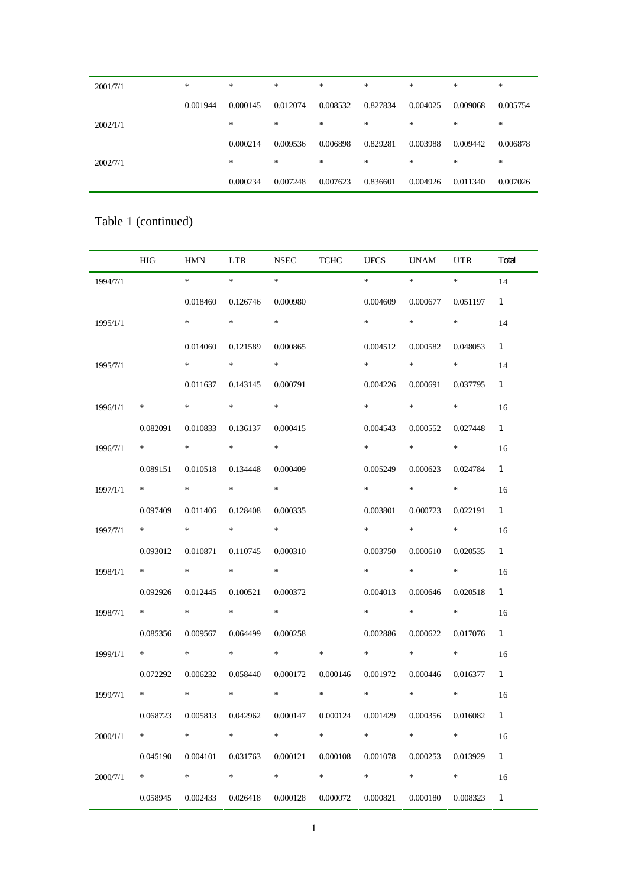| 2001/7/1 | $\ast$   | *        | $\ast$   | $*$      | *        | $\ast$   | $\ast$   | $*$      |
|----------|----------|----------|----------|----------|----------|----------|----------|----------|
|          | 0.001944 | 0.000145 | 0.012074 | 0.008532 | 0.827834 | 0.004025 | 0.009068 | 0.005754 |
| 2002/1/1 |          | *        | $\ast$   | $\ast$   | *        | $\ast$   | $\ast$   | $\ast$   |
|          |          | 0.000214 | 0.009536 | 0.006898 | 0.829281 | 0.003988 | 0.009442 | 0.006878 |
| 2002/7/1 |          | *        | $\ast$   | $\ast$   | *        | $\ast$   | $\ast$   | $\ast$   |
|          |          | 0.000234 | 0.007248 | 0.007623 | 0.836601 | 0.004926 | 0.011340 | 0.007026 |

## Table 1 (continued)

|          | <b>HIG</b>                 | HMN         | LTR                                                                                                                                                                                                                             | <b>NSEC</b>                            | <b>TCHC</b> | <b>UFCS</b>                | UNAM                                     | <b>UTR</b>                                                                           | Total        |
|----------|----------------------------|-------------|---------------------------------------------------------------------------------------------------------------------------------------------------------------------------------------------------------------------------------|----------------------------------------|-------------|----------------------------|------------------------------------------|--------------------------------------------------------------------------------------|--------------|
| 1994/7/1 |                            | $*$ and $*$ | $\ast$ . The set of the set of the set of the set of the set of the set of the set of the set of the set of the set of the set of the set of the set of the set of the set of the set of the set of the set of the set of the s | $\ast$                                 |             | $\ast$ . The set of $\ast$ | $\star$ . The set of $\sim$              | $\ast$ . The set of $\mathbb{R}^n$                                                   | 14           |
|          |                            | 0.018460    | 0.126746                                                                                                                                                                                                                        | 0.000980                               |             | 0.004609                   | 0.000677                                 | 0.051197                                                                             | $\mathbf{1}$ |
| 1995/1/1 |                            | $\ast$      | $*$ and $*$                                                                                                                                                                                                                     | $\ast$                                 |             | $\ast$                     | $*$ and $*$                              | $*$                                                                                  | 14           |
|          |                            | 0.014060    | 0.121589                                                                                                                                                                                                                        | 0.000865                               |             | 0.004512                   | 0.000582                                 | 0.048053                                                                             | $\mathbf{1}$ |
| 1995/7/1 |                            | *           | $*$ and $*$                                                                                                                                                                                                                     | $*$ $-$                                |             | $*$ and $*$                | $*$ and $*$                              | $*$ and $*$                                                                          | 14           |
|          |                            | 0.011637    | 0.143145                                                                                                                                                                                                                        | 0.000791                               |             | 0.004226                   | 0.000691                                 | 0.037795                                                                             | $\mathbf{1}$ |
| 1996/1/1 | ∗                          | $*$ and $*$ | $*$ and $*$                                                                                                                                                                                                                     | $*$ $-$                                |             | $\ast$ . The set of $\ast$ | $*$ and $*$                              | $*$ and $*$                                                                          | 16           |
|          | 0.082091                   | 0.010833    | 0.136137                                                                                                                                                                                                                        | 0.000415                               |             | 0.004543                   | 0.000552                                 | 0.027448                                                                             | $\mathbf{1}$ |
| 1996/7/1 | * * *                      | $*$ and $*$ | $*$ and $*$                                                                                                                                                                                                                     | $*$                                    |             | $\ast$                     | $*$ and $*$                              |                                                                                      | 16           |
|          | 0.089151                   | 0.010518    | 0.134448                                                                                                                                                                                                                        | 0.000409                               |             | 0.005249                   | 0.000623                                 | 0.024784                                                                             | $\mathbf{1}$ |
| 1997/1/1 | $\ast$ . The set of $\ast$ | $*$ and $*$ | $*$ and $*$                                                                                                                                                                                                                     | $*$                                    |             | $\ast$                     | $\ast$ . The set of $\ast$               | $*$ and $*$                                                                          | 16           |
|          | 0.097409                   | 0.011406    | 0.128408                                                                                                                                                                                                                        | 0.000335                               |             | 0.003801                   | 0.000723                                 | 0.022191                                                                             | $\mathbf{1}$ |
| 1997/7/1 | * * *                      | $*$ and $*$ | $*$ and $*$                                                                                                                                                                                                                     | $*$                                    |             | $*$ and $*$                | $*$ and $*$                              | $*$                                                                                  | 16           |
|          | 0.093012                   | 0.010871    | 0.110745                                                                                                                                                                                                                        | 0.000310                               |             | 0.003750                   | 0.000610                                 | 0.020535                                                                             | $\mathbf{1}$ |
| 1998/1/1 | $*$ and $*$                | $*$ and $*$ | $*$ and $*$                                                                                                                                                                                                                     | $*$ and $*$                            |             | $\ast$ . The set of $\ast$ | $\mathcal{R}$ . The set of $\mathcal{R}$ | $\ast$ .<br><br><br><br><br><br><br><br><br><br><br><br><br><br><br><br><br><br><br> | 16           |
|          | 0.092926                   | 0.012445    | 0.100521                                                                                                                                                                                                                        | 0.000372                               |             | 0.004013                   | 0.000646                                 | 0.020518                                                                             | $\mathbf{1}$ |
| 1998/7/1 | * * *                      | $*$ and $*$ | $*$ and $*$                                                                                                                                                                                                                     | $*$                                    |             | $\ast$                     | $*$ and $*$                              | $*$ and $*$                                                                          | 16           |
|          | 0.085356                   | 0.009567    | 0.064499                                                                                                                                                                                                                        | 0.000258                               |             | 0.002886                   | 0.000622                                 | 0.017076                                                                             | $\mathbf{1}$ |
| 1999/1/1 | $*$ and $*$                | $*$ and $*$ | $*$ and $*$                                                                                                                                                                                                                     | $\ast$ . The set of the $\mathbb{R}^n$ | $\ast$      | $*$ and $*$                | $*$ and $*$                              | $*$ and $*$                                                                          | 16           |
|          | 0.072292                   | 0.006232    | 0.058440                                                                                                                                                                                                                        | 0.000172                               | 0.000146    | 0.001972                   | 0.000446                                 | 0.016377                                                                             | $\mathbf{1}$ |
| 1999/7/1 | $*$ and $*$                | $*$ and $*$ | $*$                                                                                                                                                                                                                             | $*$ and $*$                            | $*$ and $*$ | $\ast$                     | $\ast$                                   | $\ast$                                                                               | 16           |
|          | 0.068723                   | 0.005813    | 0.042962                                                                                                                                                                                                                        | 0.000147                               | 0.000124    | 0.001429                   | 0.000356                                 | 0.016082                                                                             | 1            |
| 2000/1/1 | $\ast$                     | ∗           | *                                                                                                                                                                                                                               | *                                      | ∗           | ∗                          | ∗                                        | ∗                                                                                    | 16           |
|          | 0.045190                   | 0.004101    | 0.031763                                                                                                                                                                                                                        | 0.000121                               | 0.000108    | 0.001078                   | 0.000253                                 | 0.013929                                                                             | $\mathbf{1}$ |
| 2000/7/1 | $\ast$                     | $\ast$      | $\ast$                                                                                                                                                                                                                          | $\ast$                                 | $\ast$      | $\ast$                     | $\ast$                                   | $\ast$                                                                               | 16           |
|          | 0.058945                   | 0.002433    | 0.026418                                                                                                                                                                                                                        | 0.000128                               | 0.000072    | 0.000821                   | 0.000180                                 | 0.008323                                                                             | $\mathbf{1}$ |